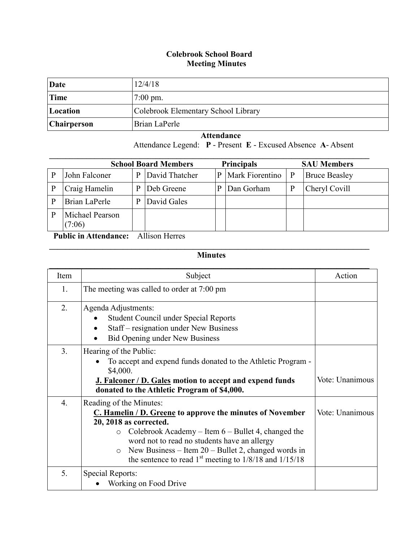## **Colebrook School Board Meeting Minutes**

| Date               | 12/4/18                             |
|--------------------|-------------------------------------|
| Time               | $7:00 \text{ pm}$ .                 |
| Location           | Colebrook Elementary School Library |
| <b>Chairperson</b> | Brian LaPerle                       |

 **Attendance** Attendance Legend: **P** - Present **E** - Excused Absence **A**- Absent

| <b>School Board Members</b> |   |                | <b>Principals</b> |                 |              | <b>SAU Members</b>   |
|-----------------------------|---|----------------|-------------------|-----------------|--------------|----------------------|
| John Falconer               | P | David Thatcher |                   | Mark Fiorentino | $\mathbf{P}$ | <b>Bruce Beasley</b> |
| Craig Hamelin               | р | Deb Greene     |                   | Dan Gorham      | P            | Cheryl Covill        |
| Brian LaPerle               | D | David Gales    |                   |                 |              |                      |
| Michael Pearson<br>(7:06)   |   |                |                   |                 |              |                      |

 **Public in Attendance:** Allison Herres

## $\mathcal{L}_\mathcal{L} = \{ \mathcal{L}_\mathcal{L} = \{ \mathcal{L}_\mathcal{L} = \{ \mathcal{L}_\mathcal{L} = \{ \mathcal{L}_\mathcal{L} = \{ \mathcal{L}_\mathcal{L} = \{ \mathcal{L}_\mathcal{L} = \{ \mathcal{L}_\mathcal{L} = \{ \mathcal{L}_\mathcal{L} = \{ \mathcal{L}_\mathcal{L} = \{ \mathcal{L}_\mathcal{L} = \{ \mathcal{L}_\mathcal{L} = \{ \mathcal{L}_\mathcal{L} = \{ \mathcal{L}_\mathcal{L} = \{ \mathcal{L}_\mathcal{$ **Minutes**

| Item             | Subject                                                                                                                                                                                                                                                                                                                                                               | Action          |
|------------------|-----------------------------------------------------------------------------------------------------------------------------------------------------------------------------------------------------------------------------------------------------------------------------------------------------------------------------------------------------------------------|-----------------|
| 1.               | The meeting was called to order at 7:00 pm                                                                                                                                                                                                                                                                                                                            |                 |
| 2.               | Agenda Adjustments:<br><b>Student Council under Special Reports</b><br>Staff – resignation under New Business<br>Bid Opening under New Business                                                                                                                                                                                                                       |                 |
| 3.               | Hearing of the Public:<br>To accept and expend funds donated to the Athletic Program -<br>\$4,000.<br><b>J. Falconer / D. Gales motion to accept and expend funds</b><br>donated to the Athletic Program of \$4,000.                                                                                                                                                  | Vote: Unanimous |
| $\overline{4}$ . | Reading of the Minutes:<br>C. Hamelin / D. Greene to approve the minutes of November<br>20, 2018 as corrected.<br>Colebrook Academy – Item $6$ – Bullet 4, changed the<br>$\circ$<br>word not to read no students have an allergy<br>New Business – Item $20$ – Bullet 2, changed words in<br>$\circ$<br>the sentence to read $1st$ meeting to $1/8/18$ and $1/15/18$ | Vote: Unanimous |
| 5.               | Special Reports:<br>Working on Food Drive                                                                                                                                                                                                                                                                                                                             |                 |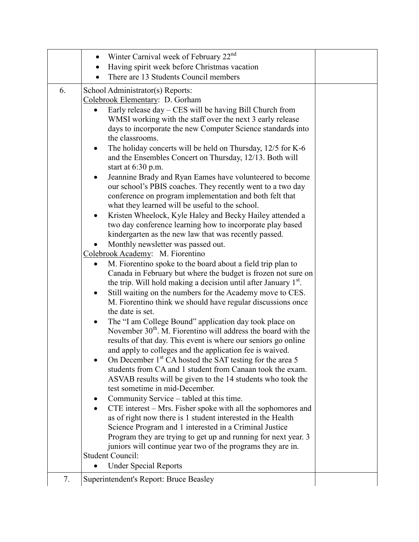|    | Winter Carnival week of February 22 <sup>nd</sup><br>$\bullet$                                                                                                                                                                                                                                                                                                                                                                                                                                                                                                                                                                                                                                                                                                                                                                                                                                                                                                                                                                                                                                                                                                                                                                                                                                                                                                                                                                                                                                                                                                                                                                                                                                                                                                                                                                                                                                                                                                                                                                                                                                                                                                                                                                              |  |  |  |  |
|----|---------------------------------------------------------------------------------------------------------------------------------------------------------------------------------------------------------------------------------------------------------------------------------------------------------------------------------------------------------------------------------------------------------------------------------------------------------------------------------------------------------------------------------------------------------------------------------------------------------------------------------------------------------------------------------------------------------------------------------------------------------------------------------------------------------------------------------------------------------------------------------------------------------------------------------------------------------------------------------------------------------------------------------------------------------------------------------------------------------------------------------------------------------------------------------------------------------------------------------------------------------------------------------------------------------------------------------------------------------------------------------------------------------------------------------------------------------------------------------------------------------------------------------------------------------------------------------------------------------------------------------------------------------------------------------------------------------------------------------------------------------------------------------------------------------------------------------------------------------------------------------------------------------------------------------------------------------------------------------------------------------------------------------------------------------------------------------------------------------------------------------------------------------------------------------------------------------------------------------------------|--|--|--|--|
|    |                                                                                                                                                                                                                                                                                                                                                                                                                                                                                                                                                                                                                                                                                                                                                                                                                                                                                                                                                                                                                                                                                                                                                                                                                                                                                                                                                                                                                                                                                                                                                                                                                                                                                                                                                                                                                                                                                                                                                                                                                                                                                                                                                                                                                                             |  |  |  |  |
|    | There are 13 Students Council members                                                                                                                                                                                                                                                                                                                                                                                                                                                                                                                                                                                                                                                                                                                                                                                                                                                                                                                                                                                                                                                                                                                                                                                                                                                                                                                                                                                                                                                                                                                                                                                                                                                                                                                                                                                                                                                                                                                                                                                                                                                                                                                                                                                                       |  |  |  |  |
| 6. | Having spirit week before Christmas vacation<br>School Administrator(s) Reports:<br>Colebrook Elementary: D. Gorham<br>Early release day - CES will be having Bill Church from<br>WMSI working with the staff over the next 3 early release<br>days to incorporate the new Computer Science standards into<br>the classrooms.<br>The holiday concerts will be held on Thursday, $12/5$ for K-6<br>and the Ensembles Concert on Thursday, 12/13. Both will<br>start at $6:30$ p.m.<br>Jeannine Brady and Ryan Eames have volunteered to become<br>$\bullet$<br>our school's PBIS coaches. They recently went to a two day<br>conference on program implementation and both felt that<br>what they learned will be useful to the school.<br>Kristen Wheelock, Kyle Haley and Becky Hailey attended a<br>$\bullet$<br>two day conference learning how to incorporate play based<br>kindergarten as the new law that was recently passed.<br>Monthly newsletter was passed out.<br>Colebrook Academy: M. Fiorentino<br>M. Fiorentino spoke to the board about a field trip plan to<br>Canada in February but where the budget is frozen not sure on<br>the trip. Will hold making a decision until after January $1st$ .<br>Still waiting on the numbers for the Academy move to CES.<br>M. Fiorentino think we should have regular discussions once<br>the date is set.<br>The "I am College Bound" application day took place on<br>November $30th$ . M. Fiorentino will address the board with the<br>results of that day. This event is where our seniors go online<br>and apply to colleges and the application fee is waived.<br>On December 1 <sup>st</sup> CA hosted the SAT testing for the area 5<br>students from CA and 1 student from Canaan took the exam.<br>ASVAB results will be given to the 14 students who took the<br>test sometime in mid-December.<br>Community Service – tabled at this time.<br>CTE interest – Mrs. Fisher spoke with all the sophomores and<br>as of right now there is 1 student interested in the Health<br>Science Program and 1 interested in a Criminal Justice<br>Program they are trying to get up and running for next year. 3<br>juniors will continue year two of the programs they are in. |  |  |  |  |
|    | <b>Student Council:</b>                                                                                                                                                                                                                                                                                                                                                                                                                                                                                                                                                                                                                                                                                                                                                                                                                                                                                                                                                                                                                                                                                                                                                                                                                                                                                                                                                                                                                                                                                                                                                                                                                                                                                                                                                                                                                                                                                                                                                                                                                                                                                                                                                                                                                     |  |  |  |  |
|    | <b>Under Special Reports</b>                                                                                                                                                                                                                                                                                                                                                                                                                                                                                                                                                                                                                                                                                                                                                                                                                                                                                                                                                                                                                                                                                                                                                                                                                                                                                                                                                                                                                                                                                                                                                                                                                                                                                                                                                                                                                                                                                                                                                                                                                                                                                                                                                                                                                |  |  |  |  |
| 7. | Superintendent's Report: Bruce Beasley                                                                                                                                                                                                                                                                                                                                                                                                                                                                                                                                                                                                                                                                                                                                                                                                                                                                                                                                                                                                                                                                                                                                                                                                                                                                                                                                                                                                                                                                                                                                                                                                                                                                                                                                                                                                                                                                                                                                                                                                                                                                                                                                                                                                      |  |  |  |  |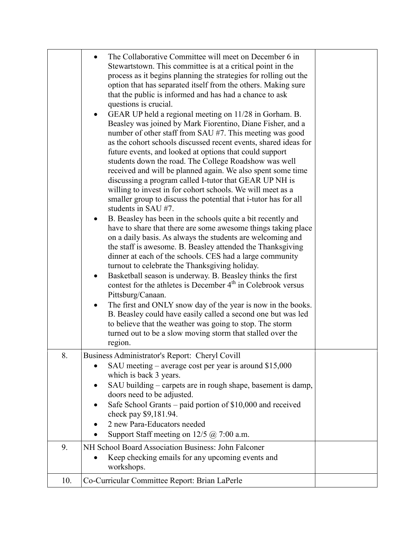| 8.  | process as it begins planning the strategies for rolling out the<br>option that has separated itself from the others. Making sure<br>that the public is informed and has had a chance to ask<br>questions is crucial.<br>GEAR UP held a regional meeting on 11/28 in Gorham. B.<br>Beasley was joined by Mark Fiorentino, Diane Fisher, and a<br>number of other staff from SAU #7. This meeting was good<br>as the cohort schools discussed recent events, shared ideas for<br>future events, and looked at options that could support<br>students down the road. The College Roadshow was well<br>received and will be planned again. We also spent some time<br>discussing a program called I-tutor that GEAR UP NH is<br>willing to invest in for cohort schools. We will meet as a<br>smaller group to discuss the potential that i-tutor has for all<br>students in SAU #7.<br>B. Beasley has been in the schools quite a bit recently and<br>have to share that there are some awesome things taking place<br>on a daily basis. As always the students are welcoming and<br>the staff is awesome. B. Beasley attended the Thanksgiving<br>dinner at each of the schools. CES had a large community<br>turnout to celebrate the Thanksgiving holiday.<br>Basketball season is underway. B. Beasley thinks the first<br>contest for the athletes is December 4 <sup>th</sup> in Colebrook versus<br>Pittsburg/Canaan.<br>The first and ONLY snow day of the year is now in the books.<br>B. Beasley could have easily called a second one but was led<br>to believe that the weather was going to stop. The storm<br>turned out to be a slow moving storm that stalled over the<br>region.<br>Business Administrator's Report: Cheryl Covill |  |
|-----|---------------------------------------------------------------------------------------------------------------------------------------------------------------------------------------------------------------------------------------------------------------------------------------------------------------------------------------------------------------------------------------------------------------------------------------------------------------------------------------------------------------------------------------------------------------------------------------------------------------------------------------------------------------------------------------------------------------------------------------------------------------------------------------------------------------------------------------------------------------------------------------------------------------------------------------------------------------------------------------------------------------------------------------------------------------------------------------------------------------------------------------------------------------------------------------------------------------------------------------------------------------------------------------------------------------------------------------------------------------------------------------------------------------------------------------------------------------------------------------------------------------------------------------------------------------------------------------------------------------------------------------------------------------------------------------------------------------------------------------------------|--|
|     | SAU meeting – average cost per year is around \$15,000<br>which is back 3 years.<br>SAU building - carpets are in rough shape, basement is damp,<br>doors need to be adjusted.<br>Safe School Grants – paid portion of \$10,000 and received<br>check pay \$9,181.94.<br>2 new Para-Educators needed<br>Support Staff meeting on $12/5$ ( $\omega$ ) 7:00 a.m.                                                                                                                                                                                                                                                                                                                                                                                                                                                                                                                                                                                                                                                                                                                                                                                                                                                                                                                                                                                                                                                                                                                                                                                                                                                                                                                                                                                    |  |
| 9.  | NH School Board Association Business: John Falconer                                                                                                                                                                                                                                                                                                                                                                                                                                                                                                                                                                                                                                                                                                                                                                                                                                                                                                                                                                                                                                                                                                                                                                                                                                                                                                                                                                                                                                                                                                                                                                                                                                                                                               |  |
|     | Keep checking emails for any upcoming events and<br>workshops.                                                                                                                                                                                                                                                                                                                                                                                                                                                                                                                                                                                                                                                                                                                                                                                                                                                                                                                                                                                                                                                                                                                                                                                                                                                                                                                                                                                                                                                                                                                                                                                                                                                                                    |  |
| 10. | Co-Curricular Committee Report: Brian LaPerle                                                                                                                                                                                                                                                                                                                                                                                                                                                                                                                                                                                                                                                                                                                                                                                                                                                                                                                                                                                                                                                                                                                                                                                                                                                                                                                                                                                                                                                                                                                                                                                                                                                                                                     |  |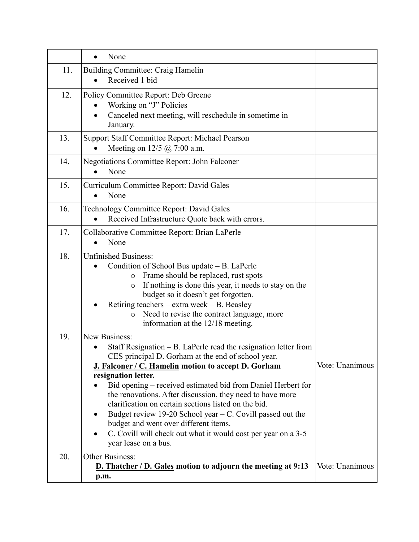|     | None<br>$\bullet$                                                                                                                                                                                                                                                                                                                                                                                                                                                                                                                                                                                                          |                 |
|-----|----------------------------------------------------------------------------------------------------------------------------------------------------------------------------------------------------------------------------------------------------------------------------------------------------------------------------------------------------------------------------------------------------------------------------------------------------------------------------------------------------------------------------------------------------------------------------------------------------------------------------|-----------------|
| 11. | Building Committee: Craig Hamelin<br>Received 1 bid                                                                                                                                                                                                                                                                                                                                                                                                                                                                                                                                                                        |                 |
| 12. | Policy Committee Report: Deb Greene<br>Working on "J" Policies<br>Canceled next meeting, will reschedule in sometime in<br>January.                                                                                                                                                                                                                                                                                                                                                                                                                                                                                        |                 |
| 13. | Support Staff Committee Report: Michael Pearson<br>Meeting on $12/5$ @ 7:00 a.m.                                                                                                                                                                                                                                                                                                                                                                                                                                                                                                                                           |                 |
| 14. | <b>Negotiations Committee Report: John Falconer</b><br>None                                                                                                                                                                                                                                                                                                                                                                                                                                                                                                                                                                |                 |
| 15. | Curriculum Committee Report: David Gales<br>None<br>$\bullet$                                                                                                                                                                                                                                                                                                                                                                                                                                                                                                                                                              |                 |
| 16. | Technology Committee Report: David Gales<br>Received Infrastructure Quote back with errors.                                                                                                                                                                                                                                                                                                                                                                                                                                                                                                                                |                 |
| 17. | Collaborative Committee Report: Brian LaPerle<br>None                                                                                                                                                                                                                                                                                                                                                                                                                                                                                                                                                                      |                 |
| 18. | <b>Unfinished Business:</b><br>Condition of School Bus update $-$ B. LaPerle<br>Frame should be replaced, rust spots<br>$\circ$<br>If nothing is done this year, it needs to stay on the<br>$\circ$<br>budget so it doesn't get forgotten.<br>Retiring teachers – extra week – B. Beasley<br>Need to revise the contract language, more<br>information at the 12/18 meeting.                                                                                                                                                                                                                                               |                 |
| 19. | New Business:<br>Staff Resignation $-B$ . LaPerle read the resignation letter from<br>CES principal D. Gorham at the end of school year.<br>J. Falconer / C. Hamelin motion to accept D. Gorham<br>resignation letter.<br>Bid opening - received estimated bid from Daniel Herbert for<br>the renovations. After discussion, they need to have more<br>clarification on certain sections listed on the bid.<br>Budget review 19-20 School year $-$ C. Covill passed out the<br>budget and went over different items.<br>C. Covill will check out what it would cost per year on a 3-5<br>$\bullet$<br>year lease on a bus. | Vote: Unanimous |
| 20. | Other Business:<br>D. Thatcher / D. Gales motion to adjourn the meeting at 9:13<br>p.m.                                                                                                                                                                                                                                                                                                                                                                                                                                                                                                                                    | Vote: Unanimous |